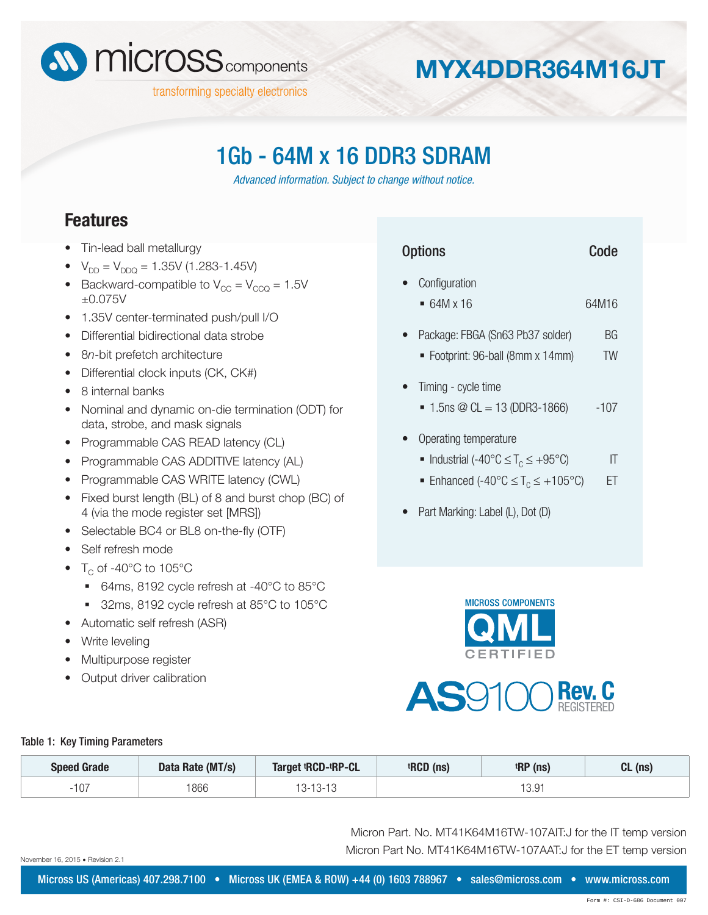

# **MYX4DDR364M16JT**

## 1Gb - 64M x 16 DDR3 SDRAM

*Advanced information. Subject to change without notice.*

### **Features**

- Tin-lead ball metallurgy
- $V_{DD} = V_{DDQ} = 1.35V (1.283 1.45V)$
- Backward-compatible to  $V_{CC} = V_{CCQ} = 1.5V$ ±0.075V
- 1.35V center-terminated push/pull I/O
- Differential bidirectional data strobe
- 8*n*-bit prefetch architecture
- Differential clock inputs (CK, CK#)
- 8 internal banks
- Nominal and dynamic on-die termination (ODT) for data, strobe, and mask signals
- Programmable CAS READ latency (CL)
- Programmable CAS ADDITIVE latency (AL)
- Programmable CAS WRITE latency (CWL)
- Fixed burst length (BL) of 8 and burst chop (BC) of 4 (via the mode register set [MRS])
- Selectable BC4 or BL8 on-the-fly (OTF)
- Self refresh mode
- $T_c$  of -40 $^{\circ}$ C to 105 $^{\circ}$ C
	- 64ms, 8192 cycle refresh at -40°C to 85°C
	- 32ms, 8192 cycle refresh at 85°C to 105°C
- Automatic self refresh (ASR)
- Write leveling
- Multipurpose register
- Output driver calibration

| <b>Options</b>                                                                                                   | Code     |
|------------------------------------------------------------------------------------------------------------------|----------|
| Configuration<br>$= 64M \times 16$                                                                               | 64M16    |
| Package: FBGA (Sn63 Pb37 solder)<br>■ Footprint: 96-ball (8mm x 14mm)                                            | ВG<br>TW |
| Timing - cycle time<br>$\blacksquare$ 1.5 m $\oslash$ CL = 13 (DDR3-1866)                                        | $-107$   |
| Operating temperature<br>■ Industrial (-40°C $\leq T_c \leq +95$ °C)<br>Enhanced (-40°C $\leq T_c \leq +105$ °C) | IT<br>FT |
| Part Marking: Label (L), Dot (D)                                                                                 |          |
|                                                                                                                  |          |





#### Table 1: Key Timing Parameters

| <b>Speed Grade</b> | Data Rate (MT/s) | Target <sup>t</sup> RCD- <sup>t</sup> RP-CL | <sup>t</sup> RCD (ns) | <sup>t</sup> RP (ns) | $CL$ (ns) |
|--------------------|------------------|---------------------------------------------|-----------------------|----------------------|-----------|
| 107                | 1866             | $-13-13$                                    |                       | 3.91                 |           |

Micron Part. No. MT41K64M16TW-107AIT:J for the IT temp version Micron Part No. MT41K64M16TW-107AAT:J for the ET temp version

November 16, 2015 · Revision 2.1